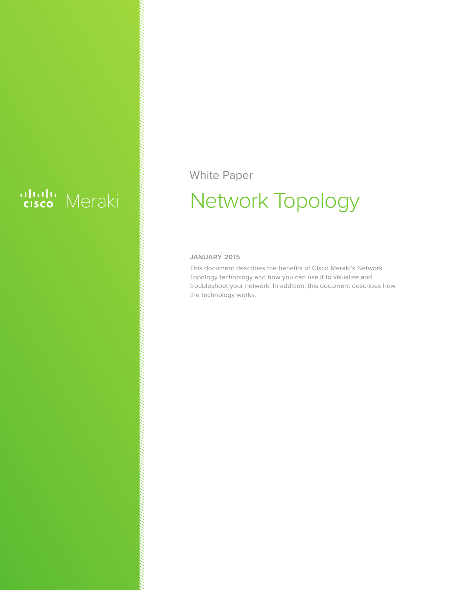# ululu Meraki

#### White Paper

## Network Topology

#### **JANUARY 2015**

This document describes the benefits of Cisco Meraki's Network Topology technology and how you can use it to visualize and troubleshoot your network. In addition, this document describes how the technology works.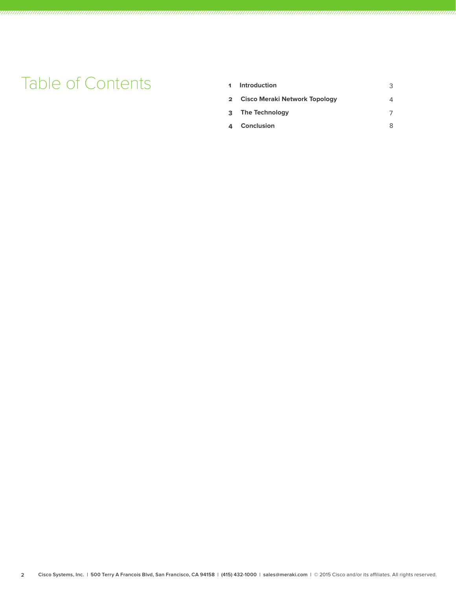### **Table of Contents**

| 1 Introduction                  |  |
|---------------------------------|--|
| 2 Cisco Meraki Network Topology |  |
| 3 The Technology                |  |
| 4 Conclusion                    |  |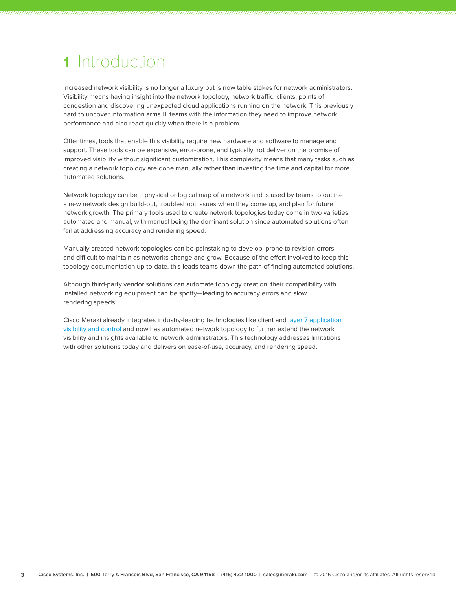#### 1 Introduction

Increased network visibility is no longer a luxury but is now table stakes for network administrators. Visibility means having insight into the network topology, network traffic, clients, points of congestion and discovering unexpected cloud applications running on the network. This previously hard to uncover information arms IT teams with the information they need to improve network performance and also react quickly when there is a problem.

Oftentimes, tools that enable this visibility require new hardware and software to manage and support. These tools can be expensive, error-prone, and typically not deliver on the promise of improved visibility without significant customization. This complexity means that many tasks such as creating a network topology are done manually rather than investing the time and capital for more automated solutions.

Network topology can be a physical or logical map of a network and is used by teams to outline a new network design build-out, troubleshoot issues when they come up, and plan for future network growth. The primary tools used to create network topologies today come in two varieties: automated and manual, with manual being the dominant solution since automated solutions often fail at addressing accuracy and rendering speed.

Manually created network topologies can be painstaking to develop, prone to revision errors, and difficult to maintain as networks change and grow. Because of the effort involved to keep this topology documentation up-to-date, this leads teams down the path of finding automated solutions.

Although third-party vendor solutions can automate topology creation, their compatibility with installed networking equipment can be spotty—leading to accuracy errors and slow rendering speeds.

Cisco Meraki already integrates industry-leading technologies like client and layer 7 application visibility and control and now has automated network topology to further extend the network visibility and insights available to network administrators. This technology addresses limitations with other solutions today and delivers on ease-of-use, accuracy, and rendering speed.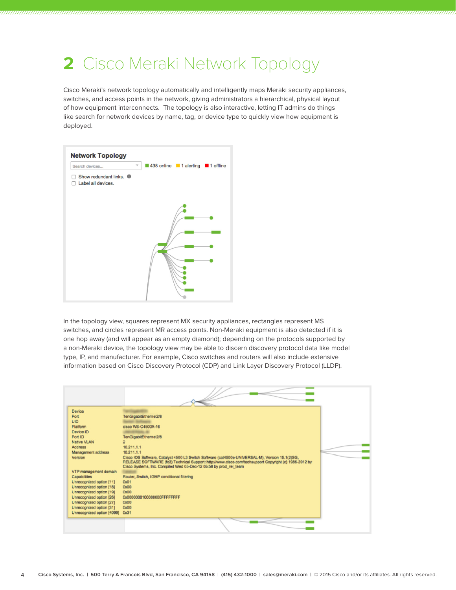#### **2** Cisco Meraki Network Topology

Cisco Meraki's network topology automatically and intelligently maps Meraki security appliances, switches, and access points in the network, giving administrators a hierarchical, physical layout of how equipment interconnects. The topology is also interactive, letting IT admins do things like search for network devices by name, tag, or device type to quickly view how equipment is deployed.



In the topology view, squares represent MX security appliances, rectangles represent MS switches, and circles represent MR access points. Non-Meraki equipment is also detected if it is one hop away (and will appear as an empty diamond); depending on the protocols supported by a non-Meraki device, the topology view may be able to discern discovery protocol data like model type, IP, and manufacturer. For example, Cisco switches and routers will also include extensive information based on Cisco Discovery Protocol (CDP) and Link Layer Discovery Protocol (LLDP).

| Device<br>Port<br>UID<br>Platform<br>Device ID                                                               | TenGigabitEthernet2/8<br>cisco WS-C4500X-16                                                                                                                                                                                      |  |
|--------------------------------------------------------------------------------------------------------------|----------------------------------------------------------------------------------------------------------------------------------------------------------------------------------------------------------------------------------|--|
| Port ID<br>Native VLAN<br><b>Address</b><br>Management address<br>Version                                    | TenGigabitEthernet2/8<br>ž,<br>10.211.1.1<br>10.211.1.1<br>Cisco IOS Software, Catalyst 4500 L3 Switch Software (cat4500e-UNIVERSAL-M), Version 15.1(2)SG,                                                                       |  |
| VTP management domain<br>Capabilities<br>Unrecognized option [11]                                            | RELEASE SOFTWARE (fc3) Technical Support: http://www.cisco.com/techsupport Copyright (c) 1986-2012 by<br>Cisco Systems, Inc. Compiled Wed 05-Dec-12 06:58 by prod_rel_team<br>Router, Switch, IGMP conditional filtering<br>OxO1 |  |
| Unrecognized option [18]<br>Unrecognized option [19]<br>Unrecognized option [26]<br>Unrecognized option [27] | Ox00<br>OxOO<br>0x0000000100000000FFFFFFFFF<br>0 <sub>x00</sub>                                                                                                                                                                  |  |
| Unrecognized option [31]<br>Unrecognized option [4099]                                                       | 0x00<br>0x31                                                                                                                                                                                                                     |  |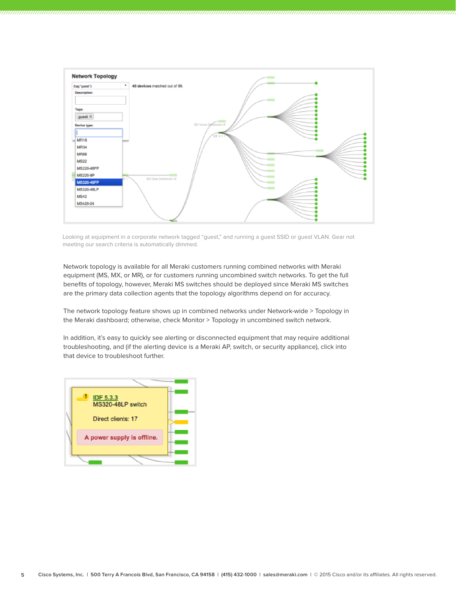

Looking at equipment in a corporate network tagged "guest," and running a guest SSID or guest VLAN. Gear not meeting our search criteria is automatically dimmed.

Network topology is available for all Meraki customers running combined networks with Meraki equipment (MS, MX, or MR), or for customers running uncombined switch networks. To get the full benefits of topology, however, Meraki MS switches should be deployed since Meraki MS switches are the primary data collection agents that the topology algorithms depend on for accuracy.

The network topology feature shows up in combined networks under Network-wide > Topology in the Meraki dashboard; otherwise, check Monitor > Topology in uncombined switch network.

In addition, it's easy to quickly see alerting or disconnected equipment that may require additional troubleshooting, and (if the alerting device is a Meraki AP, switch, or security appliance), click into that device to troubleshoot further.

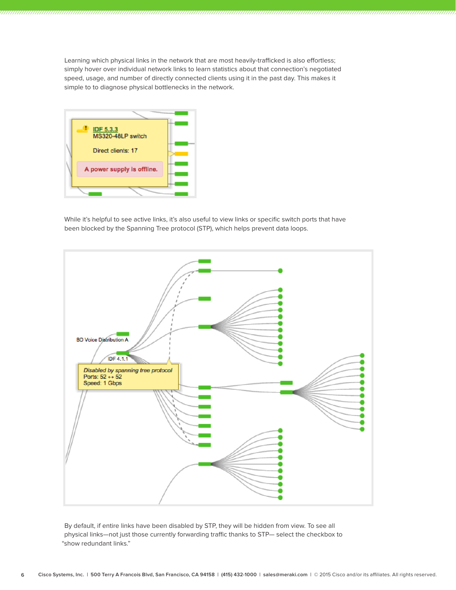Learning which physical links in the network that are most heavily-trafficked is also effortless; simply hover over individual network links to learn statistics about that connection's negotiated speed, usage, and number of directly connected clients using it in the past day. This makes it simple to to diagnose physical bottlenecks in the network.



While it's helpful to see active links, it's also useful to view links or specific switch ports that have been blocked by the Spanning Tree protocol (STP), which helps prevent data loops.



By default, if entire links have been disabled by STP, they will be hidden from view. To see all physical links—not just those currently forwarding traffic thanks to STP— select the checkbox to "show redundant links."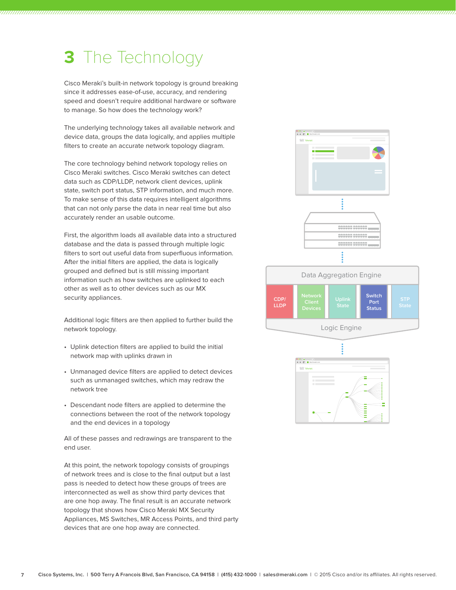#### **3** The Technology

Cisco Meraki's built-in network topology is ground breaking since it addresses ease-of-use, accuracy, and rendering speed and doesn't require additional hardware or software to manage. So how does the technology work?

The underlying technology takes all available network and device data, groups the data logically, and applies multiple filters to create an accurate network topology diagram.

The core technology behind network topology relies on Cisco Meraki switches. Cisco Meraki switches can detect data such as CDP/LLDP, network client devices, uplink state, switch port status, STP information, and much more. To make sense of this data requires intelligent algorithms that can not only parse the data in near real time but also accurately render an usable outcome.

First, the algorithm loads all available data into a structured database and the data is passed through multiple logic filters to sort out useful data from superfluous information. After the initial filters are applied, the data is logically grouped and defined but is still missing important information such as how switches are uplinked to each other as well as to other devices such as our MX security appliances.

Additional logic filters are then applied to further build the network topology.

- Uplink detection filters are applied to build the initial network map with uplinks drawn in
- Unmanaged device filters are applied to detect devices such as unmanaged switches, which may redraw the network tree
- Descendant node filters are applied to determine the connections between the root of the network topology and the end devices in a topology

All of these passes and redrawings are transparent to the end user.

At this point, the network topology consists of groupings of network trees and is close to the final output but a last pass is needed to detect how these groups of trees are interconnected as well as show third party devices that are one hop away. The final result is an accurate network topology that shows how Cisco Meraki MX Security Appliances, MS Switches, MR Access Points, and third party devices that are one hop away are connected.